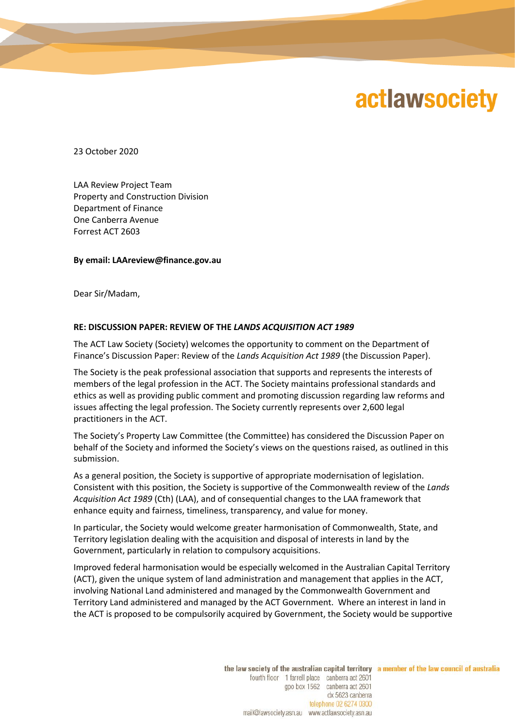## **actlawsociety**

23 October 2020

LAA Review Project Team Property and Construction Division Department of Finance One Canberra Avenue Forrest ACT 2603

**By email: LAAreview@finance.gov.au**

Dear Sir/Madam,

## **RE: DISCUSSION PAPER: REVIEW OF THE** *LANDS ACQUISITION ACT 1989*

The ACT Law Society (Society) welcomes the opportunity to comment on the Department of Finance's Discussion Paper: Review of the *Lands Acquisition Act 1989* (the Discussion Paper).

The Society is the peak professional association that supports and represents the interests of members of the legal profession in the ACT. The Society maintains professional standards and ethics as well as providing public comment and promoting discussion regarding law reforms and issues affecting the legal profession. The Society currently represents over 2,600 legal practitioners in the ACT.

The Society's Property Law Committee (the Committee) has considered the Discussion Paper on behalf of the Society and informed the Society's views on the questions raised, as outlined in this submission.

As a general position, the Society is supportive of appropriate modernisation of legislation. Consistent with this position, the Society is supportive of the Commonwealth review of the *Lands Acquisition Act 1989* (Cth) (LAA), and of consequential changes to the LAA framework that enhance equity and fairness, timeliness, transparency, and value for money.

In particular, the Society would welcome greater harmonisation of Commonwealth, State, and Territory legislation dealing with the acquisition and disposal of interests in land by the Government, particularly in relation to compulsory acquisitions.

Improved federal harmonisation would be especially welcomed in the Australian Capital Territory (ACT), given the unique system of land administration and management that applies in the ACT, involving National Land administered and managed by the Commonwealth Government and Territory Land administered and managed by the ACT Government. Where an interest in land in the ACT is proposed to be compulsorily acquired by Government, the Society would be supportive